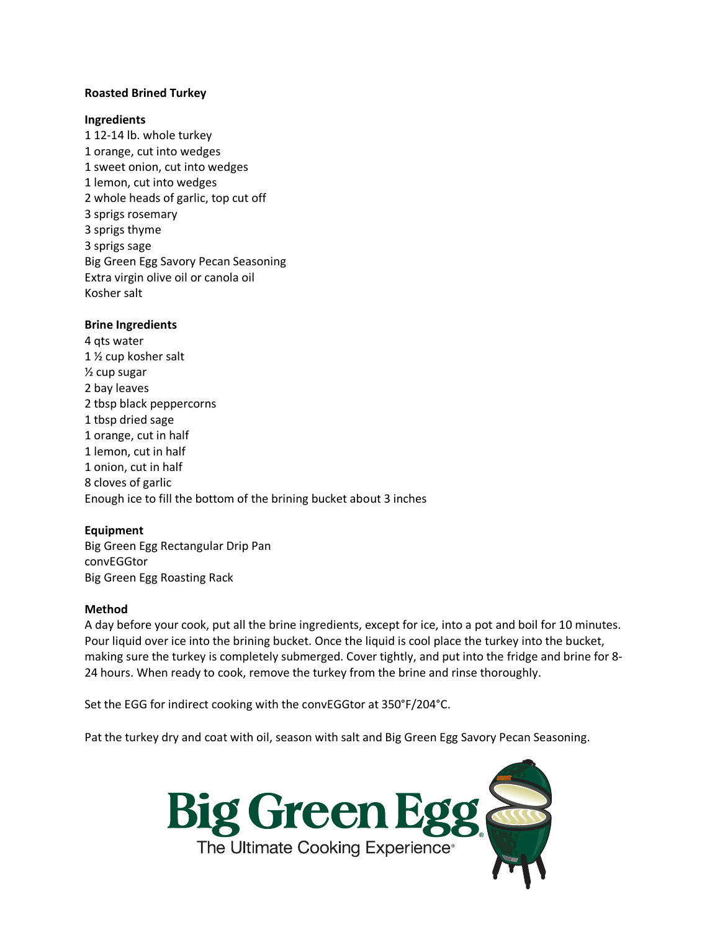### **Roasted Brined Turkey**

#### **Ingredients**

1 12-14 lb. whole turkey 1 orange, cut into wedges 1 sweet onion, cut into wedges 1 lemon, cut into wedges 2 whole heads of garlic, top cut off 3 sprigs rosemary 3 sprigs thyme 3 sprigs sage Big Green Egg Savory Pecan Seasoning Extra virgin olive oil or canola oil Kosher salt

# **Brine Ingredients**

4 qts water 1 ½ cup kosher salt ½ cup sugar 2 bay leaves 2 tbsp black peppercorns 1 tbsp dried sage 1 orange, cut in half 1 lemon, cut in half 1 onion, cut in half 8 cloves of garlic Enough ice to fill the bottom of the brining bucket about 3 inches

# **Equipment**

Big Green Egg Rectangular Drip Pan convEGGtor Big Green Egg Roasting Rack

#### **Method**

A day before your cook, put all the brine ingredients, except for ice, into a pot and boil for 10 minutes. Pour liquid over ice into the brining bucket. Once the liquid is cool place the turkey into the bucket, making sure the turkey is completely submerged. Cover tightly, and put into the fridge and brine for 8- 24 hours. When ready to cook, remove the turkey from the brine and rinse thoroughly.

Set the EGG for indirect cooking with the convEGGtor at 350°F/204°C.

Pat the turkey dry and coat with oil, season with salt and Big Green Egg Savory Pecan Seasoning.